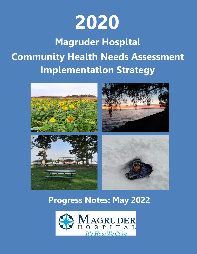

# **Magruder Hospital Community Health Needs Assessment Implementation Strategy**



# **Progress Notes: May 2022**

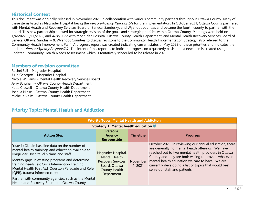#### **Historical Context**

This document was originally released in November 2020 in collaboration with various community partners throughout Ottawa County. Many of these items listed as Magruder Hospital being the Person/Agency Responsible for the implementation. In October 2021, Ottawa County partnered with Mental Health and Recovery Services Board of Seneca, Sandusky, and Wyandot counties and became the fourth county to partner with the board. This new partnership allowed for strategic revision of the goals and strategic priorities within Ottawa County. Meetings were held on 1/4/2022, 2/11/2022, and 4/28/2022 with Magruder Hospital, Ottawa County Health Department, and Mental Health Recovery Services Board of Seneca, Ottawa, Sandusky & Wyandot Counties to discuss revisions to the Community Health Implementation Strategy (also referred to the Community Health Improvement Plan). A progress report was created indicating current status in May 2022 of these priorities and indicates the updated Person/Agency Responsible. The intent of this report is to indicate progress on a quarterly basis until a new plan is created using an updated Community Health Needs Assessment, which is tentatively scheduled to be release in 2023.

#### **Members of revision committee**

Rachel Fall – Magruder Hospital Julie Georgoff – Magruder Hospital Nicole Williams – Mental Health Recovery Services Board Jerry Bingham – Ottawa County Health Department Katie Crowell – Ottawa County Health Department Joshua Niese – Ottawa County Health Department Michelle Veliz – Ottawa County Health Department

#### **Priority Topic: Mental Health and Addiction**

| <b>Priority Topic: Mental Health and Addiction</b>                                                                                                                                                                                                                                                                                                                                                                                                            |                                                                                                                               |                    |                                                                                                                                                                                                                                                                                                                                                                          |  |  |
|---------------------------------------------------------------------------------------------------------------------------------------------------------------------------------------------------------------------------------------------------------------------------------------------------------------------------------------------------------------------------------------------------------------------------------------------------------------|-------------------------------------------------------------------------------------------------------------------------------|--------------------|--------------------------------------------------------------------------------------------------------------------------------------------------------------------------------------------------------------------------------------------------------------------------------------------------------------------------------------------------------------------------|--|--|
|                                                                                                                                                                                                                                                                                                                                                                                                                                                               | Strategy 1: Mental health education                                                                                           |                    |                                                                                                                                                                                                                                                                                                                                                                          |  |  |
| <b>Action Step</b>                                                                                                                                                                                                                                                                                                                                                                                                                                            | Person/<br><b>Agency</b><br><b>Responsible</b>                                                                                | <b>Timeline</b>    | <b>Progress</b>                                                                                                                                                                                                                                                                                                                                                          |  |  |
| <b>Year 1:</b> Obtain baseline data on the number of<br>mental health trainings and education available to<br>Magruder Hospital clinicians and staff.<br>Identify gaps in existing programs and determine<br>training needs (ex: Crisis Intervention Training,<br>Mental Health First Aid, Question Persuade and Refer<br>[QPR], trauma informed care).<br>Partner with community agencies, such as the Mental<br>Health and Recovery Board and Ottawa County | Magruder Hospital,<br><b>Mental Health</b><br><b>Recovery Services</b><br>Board, Ottawa<br><b>County Health</b><br>Department | November<br>1,2021 | October 2021: In reviewing our annual education, there<br>are generally no mental health offerings. We have<br>reached out to two mental health providers in Ottawa<br>County and they are both willing to provide whatever<br>mental health education we care to have. We are<br>currently developing a list of topics that would best<br>serve our staff and patients. |  |  |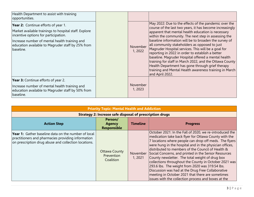| Health Department to assist with training<br>opportunities.                                                                                                                                                                                             |                     |                                                                                                                                                                                                                                                                                                                                                                                                                                                                                                                                                                                                                                                                                                         |
|---------------------------------------------------------------------------------------------------------------------------------------------------------------------------------------------------------------------------------------------------------|---------------------|---------------------------------------------------------------------------------------------------------------------------------------------------------------------------------------------------------------------------------------------------------------------------------------------------------------------------------------------------------------------------------------------------------------------------------------------------------------------------------------------------------------------------------------------------------------------------------------------------------------------------------------------------------------------------------------------------------|
| Year 2: Continue efforts of year 1.<br>Market available trainings to hospital staff. Explore<br>incentive options for participation.<br>Increase number of mental health training and<br>education available to Magruder staff by 25% from<br>baseline. | November<br>1, 2022 | May 2022: Due to the effects of the pandemic over the<br>course of the last two years, it has become increasingly<br>apparent that mental health education is necessary<br>within the community. The next step in assessing the<br>baseline information will be to broaden the survey of<br>all community stakeholders as opposed to just<br>Magruder Hospital services. This will be a goal for<br>reporting in 2022 in order to establish a better<br>baseline. Magruder Hospital offered a mental health<br>training for staff in March 2022, and the Ottawa County<br>Health Department has gone through grief therapy<br>training and Mental Health awareness training in March<br>and April 2022. |
| Year 3: Continue efforts of year 2.<br>Increase number of mental health training and<br>education available to Magruder staff by 50% from<br>baseline.                                                                                                  | November<br>1, 2023 |                                                                                                                                                                                                                                                                                                                                                                                                                                                                                                                                                                                                                                                                                                         |

| <b>Priority Topic: Mental Health and Addiction</b>                                                                                                                       |                                                                 |                    |                                                                                                                                                                                                                                                                                                                                                                                                                                                                                                                                                                                                                                                                                   |  |  |
|--------------------------------------------------------------------------------------------------------------------------------------------------------------------------|-----------------------------------------------------------------|--------------------|-----------------------------------------------------------------------------------------------------------------------------------------------------------------------------------------------------------------------------------------------------------------------------------------------------------------------------------------------------------------------------------------------------------------------------------------------------------------------------------------------------------------------------------------------------------------------------------------------------------------------------------------------------------------------------------|--|--|
|                                                                                                                                                                          | <b>Strategy 2: Increase safe disposal of prescription drugs</b> |                    |                                                                                                                                                                                                                                                                                                                                                                                                                                                                                                                                                                                                                                                                                   |  |  |
| <b>Action Step</b>                                                                                                                                                       | Person/<br><b>Agency</b><br><b>Responsible</b>                  | <b>Timeline</b>    | <b>Progress</b>                                                                                                                                                                                                                                                                                                                                                                                                                                                                                                                                                                                                                                                                   |  |  |
| <b>Year 1:</b> Gather baseline data on the number of local<br>practitioners and pharmacies providing information<br>on prescription drug abuse and collection locations. | <b>Ottawa County</b><br>Prevention<br>Coalition                 | November<br>1,2021 | October 2021: In the Fall of 2020, we re-introduced the<br>medication take back flyer for Ottawa County with the<br>7 locations where people can drop off meds. The flyers<br>were hung in the hospital and in the physician offices,<br>distributed to members of the Council of Health &<br>Social Concerns, and printed in the Senior Resources<br>County newsletter. The total weight of drug box<br>collections throughout the County in October 2021 was<br>293.6 lbs. The weight from 2020 was 319.54 lbs.<br>Discussion was had at the Drug Free Collaborative<br>meeting in October 2021 that there are sometimes<br>issues with the collection process and boxes at the |  |  |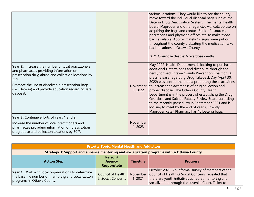|                                                                                                                                                                                                                                                                                       |                     | various locations. They would like to see the county<br>move toward the individual disposal bags such as the<br>Deterra Drug Deactivation System. The mental health<br>board, Magruder and other agencies will collaborate on<br>acquiring the bags and contact Senior Resources,<br>pharmacies and physician offices etc. to make those<br>bags available. Approximately 17 signs were put out<br>throughout the county indicating the medication take<br>back locations in Ottawa County<br>2021 Overdose deaths: 6 overdose deaths                                                                                                                        |
|---------------------------------------------------------------------------------------------------------------------------------------------------------------------------------------------------------------------------------------------------------------------------------------|---------------------|--------------------------------------------------------------------------------------------------------------------------------------------------------------------------------------------------------------------------------------------------------------------------------------------------------------------------------------------------------------------------------------------------------------------------------------------------------------------------------------------------------------------------------------------------------------------------------------------------------------------------------------------------------------|
| Year 2: Increase the number of local practitioners<br>and pharmacies providing information on<br>prescription drug abuse and collection locations by<br>25%.<br>Promote the use of dissolvable prescription bags<br>(i.e., Deterra) and provide education regarding safe<br>disposal. | November<br>1, 2022 | May 2022: Health Department is looking to purchase<br>additional Deterra bags and distribute through the<br>newly formed Ottawa County Prevention Coalition. A<br>press release regarding Drug Takeback Day (April 30,<br>2022) was sent to the media promoting these activities<br>to increase the awareness of drug collection and<br>proper disposal. The Ottawa County Health<br>Department is in the process of establishing the Drug<br>Overdose and Suicide Fatality Review Board according<br>to the recently passed law in September 2021 and is<br>looking to meet by the end of year. Currently,<br>Magruder Retail Pharmacy has 46 Deterra bags. |
| Year 3: Continue efforts of years 1 and 2.<br>Increase the number of local practitioners and<br>pharmacies providing information on prescription<br>drug abuse and collection locations by 50%.                                                                                       | November<br>1,2023  |                                                                                                                                                                                                                                                                                                                                                                                                                                                                                                                                                                                                                                                              |

| <b>Priority Topic: Mental Health and Addiction</b>                                                                                            |                                                |                 |                                                                                                                                                                                                                                 |  |
|-----------------------------------------------------------------------------------------------------------------------------------------------|------------------------------------------------|-----------------|---------------------------------------------------------------------------------------------------------------------------------------------------------------------------------------------------------------------------------|--|
|                                                                                                                                               |                                                |                 | Strategy 3: Support and enhance mentoring and socialization programs within Ottawa County                                                                                                                                       |  |
| <b>Action Step</b>                                                                                                                            | Person/<br><b>Agency</b><br><b>Responsible</b> | <b>Timeline</b> | <b>Progress</b>                                                                                                                                                                                                                 |  |
| <b>Year 1:</b> Work with local organizations to determine<br>the baseline number of mentoring and socialization<br>programs in Ottawa County. | <b>Council of Health</b><br>& Social Concerns  | 1, 2021         | October 2021: An informal survey of members of the<br>November   Council of Health & Social Concerns revealed that<br>there are youth initiatives aimed at mentoring and<br>socialization through the Juvenile Court, Ticket to |  |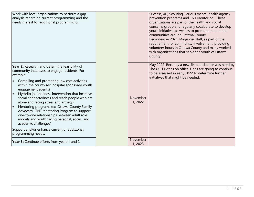| Work with local organizations to perform a gap<br>analysis regarding current programming and the<br>need/interest for additional programming.                                                                                                                                                                                                                                                                                                                                                                                                                                                                                                                                  |                     | Success, 4H, Scouting, various mental health agency<br>prevention programs and TNT Mentoring. These<br>organizations are part of the health and social<br>concerns group and regularly collaborate to develop<br>youth initiatives as well as to promote them in the<br>communities around Ottawa County.<br>Beginning in 2021, Magruder staff, as part of the<br>requirement for community involvement, providing<br>volunteer hours in Ottawa County and many worked<br>with organizations that serve the youth of Ottawa<br>County. |
|--------------------------------------------------------------------------------------------------------------------------------------------------------------------------------------------------------------------------------------------------------------------------------------------------------------------------------------------------------------------------------------------------------------------------------------------------------------------------------------------------------------------------------------------------------------------------------------------------------------------------------------------------------------------------------|---------------------|----------------------------------------------------------------------------------------------------------------------------------------------------------------------------------------------------------------------------------------------------------------------------------------------------------------------------------------------------------------------------------------------------------------------------------------------------------------------------------------------------------------------------------------|
| Year 2: Research and determine feasibility of<br>community initiatives to engage residents. For<br>example:<br>Compiling and promoting low cost activities<br>within the county (ex: hospital sponsored youth<br>engagement events)<br>MyHello (a loneliness intervention that increases<br>social connectedness and reach people who are<br>alone and facing stress and anxiety)<br>Mentoring programs (ex: Ottawa County Family<br>Advocacy - TNT Mentoring Program to support<br>one-to-one relationships between adult role<br>models and youth facing personal, social, and<br>academic challenges)<br>Support and/or enhance current or additional<br>programming needs. | November<br>1, 2022 | May 2022: Recently a new 4H coordinator was hired by<br>The OSU Extension office. Gaps are going to continue<br>to be assessed in early 2022 to determine further<br>initiatives that might be needed.                                                                                                                                                                                                                                                                                                                                 |
| Year 3: Continue efforts from years 1 and 2.                                                                                                                                                                                                                                                                                                                                                                                                                                                                                                                                                                                                                                   | November<br>1, 2023 |                                                                                                                                                                                                                                                                                                                                                                                                                                                                                                                                        |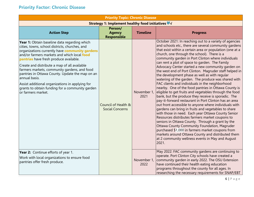### **Priority Factor: Chronic Disease**

| <b>Priority Topic: Chronic Disease</b>                                                                                                                                                                                                                                                                                                                                                                                                                                                                                                           |                                                |                     |                                                                                                                                                                                                                                                                                                                                                                                                                                                                                                                                                                                                                                                                                                                                                                                                                                                                                                                                                                                                                                                                                                                                                                                                                                                                                                                                                   |  |  |
|--------------------------------------------------------------------------------------------------------------------------------------------------------------------------------------------------------------------------------------------------------------------------------------------------------------------------------------------------------------------------------------------------------------------------------------------------------------------------------------------------------------------------------------------------|------------------------------------------------|---------------------|---------------------------------------------------------------------------------------------------------------------------------------------------------------------------------------------------------------------------------------------------------------------------------------------------------------------------------------------------------------------------------------------------------------------------------------------------------------------------------------------------------------------------------------------------------------------------------------------------------------------------------------------------------------------------------------------------------------------------------------------------------------------------------------------------------------------------------------------------------------------------------------------------------------------------------------------------------------------------------------------------------------------------------------------------------------------------------------------------------------------------------------------------------------------------------------------------------------------------------------------------------------------------------------------------------------------------------------------------|--|--|
| Strategy 1: Implement healthy food initiatives ■ √                                                                                                                                                                                                                                                                                                                                                                                                                                                                                               |                                                |                     |                                                                                                                                                                                                                                                                                                                                                                                                                                                                                                                                                                                                                                                                                                                                                                                                                                                                                                                                                                                                                                                                                                                                                                                                                                                                                                                                                   |  |  |
| <b>Action Step</b>                                                                                                                                                                                                                                                                                                                                                                                                                                                                                                                               | Person/<br><b>Agency</b><br><b>Responsible</b> | <b>Timeline</b>     | <b>Progress</b>                                                                                                                                                                                                                                                                                                                                                                                                                                                                                                                                                                                                                                                                                                                                                                                                                                                                                                                                                                                                                                                                                                                                                                                                                                                                                                                                   |  |  |
| Year 1: Obtain baseline data regarding which<br>cities, towns, school districts, churches, and<br>organizations currently have <b>community gardens</b><br>and/or farmers markets and which local food<br>pantries have fresh produce available.<br>Create and distribute a map of all available<br>farmers markets, community gardens, and food<br>pantries in Ottawa County. Update the map on an<br>annual basis.<br>Assist additional organizations in applying for<br>grants to obtain funding for a community garden<br>or farmers market. | Council of Health &<br><b>Social Concerns</b>  | November 1,<br>2021 | October 2021: In reaching out to a variety of agencies<br>and schools etc., there are several community gardens<br>that exist within a certain area or population (one at a<br>church, one through the school). There is a<br>community garden in Port Clinton where individuals<br>can rent a plot of space to garden. The Family<br>Advocacy Center started a new community garden on<br>the west end of Port Clinton. Magruder staff helped in<br>the development phase as well as with regular<br>watering of the garden. The produce was shared with<br>FAC clients and individuals in the neighborhood<br>nearby. One of the food pantries in Ottawa County is<br>eligible to get fruits and vegetables through the food<br>bank, but the produce they receive is sporadic. The<br>pay-it-forward restaurant in Port Clinton has an area<br>out front accessible to anyone where individuals with<br>gardens can bring in fruits and vegetables to share<br>with those in need. Each year Ottawa County Senior<br>Resources distributes farmers market coupons to<br>seniors in Ottawa County. Through a grant by the<br>Ottawa County Community Foundation, Magruder<br>purchased \$1,000 in farmers market coupons from<br>markets around Ottawa County and distributed them<br>at 2 community wellness events in May and August<br>2021. |  |  |
| Year 2: Continue efforts of year 1.<br>Work with local organizations to ensure food<br>pantries offer fresh produce.                                                                                                                                                                                                                                                                                                                                                                                                                             |                                                | 2022                | May 2022: FAC community gardens are continuing to<br>operate. Port Clinton City schools have created a<br>November 1, community garden in early 2022. The OSU Extension<br>have continued their health eating education<br>programs throughout the county for all ages. In<br>researching the necessary requirements for SNAP/EBT                                                                                                                                                                                                                                                                                                                                                                                                                                                                                                                                                                                                                                                                                                                                                                                                                                                                                                                                                                                                                 |  |  |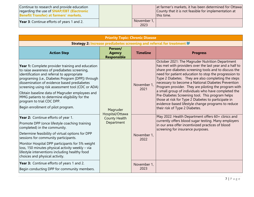| Continue to research and provide education<br>regarding the use of <b>SNAP/EBT</b> (Electronic<br><b>Benefit Transfer) at farmers' markets.</b> |                     | at farmer's markets, it has been determined for Ottawa<br>County that it is not feasible for implementation at<br>this time. |
|-------------------------------------------------------------------------------------------------------------------------------------------------|---------------------|------------------------------------------------------------------------------------------------------------------------------|
| <b>Year 3:</b> Continue efforts of years 1 and 2.                                                                                               | November 1,<br>2023 |                                                                                                                              |

| <b>Priority Topic: Chronic Disease</b>                                                                                                                                                                                                                                                                                                                                                                                                                                        |                                                                   |                     |                                                                                                                                                                                                                                                                                                                                                                                                                                                                                                                                                                                                                                                            |  |  |
|-------------------------------------------------------------------------------------------------------------------------------------------------------------------------------------------------------------------------------------------------------------------------------------------------------------------------------------------------------------------------------------------------------------------------------------------------------------------------------|-------------------------------------------------------------------|---------------------|------------------------------------------------------------------------------------------------------------------------------------------------------------------------------------------------------------------------------------------------------------------------------------------------------------------------------------------------------------------------------------------------------------------------------------------------------------------------------------------------------------------------------------------------------------------------------------------------------------------------------------------------------------|--|--|
| Strategy 2: Increase prediabetes screening and referral for treatment                                                                                                                                                                                                                                                                                                                                                                                                         |                                                                   |                     |                                                                                                                                                                                                                                                                                                                                                                                                                                                                                                                                                                                                                                                            |  |  |
| <b>Action Step</b>                                                                                                                                                                                                                                                                                                                                                                                                                                                            | Person/<br><b>Agency</b><br>Responsible                           | <b>Timeline</b>     | <b>Progress</b>                                                                                                                                                                                                                                                                                                                                                                                                                                                                                                                                                                                                                                            |  |  |
| Year 1: Complete provider training and education<br>to raise awareness of prediabetes screening,<br>identification and referral to appropriate<br>programing (i.e., Diabetes Program [DPP]) through<br>dissemination of evidence based prediabetes<br>screening using risk assessment tool (CDC or ADA)<br>Obtain baseline data of Magruder employees and<br>MMG patients to determine eligibility for the<br>program to trial CDC DPP.<br>Begin enrollment of pilot program. | Magruder<br>Hospital/Ottawa<br><b>County Health</b><br>Department | November 1,<br>2021 | October 2021: The Magruder Nutrition Department<br>has met with providers over the last year and a half to<br>share pre-diabetes screening tools and to discuss the<br>need for patient education to stop the progression to<br>Type 2 Diabetes. They are also completing the steps<br>necessary to become a National Diabetes Prevention<br>Program provider. They are piloting the program with<br>a small group of individuals who have completed the<br>Pre-Diabetes Screening tool. This program helps<br>those at risk for Type 2 Diabetes to participate in<br>evidence-based lifestyle change programs to reduce<br>their risk of Type 2 Diabetes. |  |  |
| Year 2: Continue efforts of year 1.<br>Promote DPP (once lifestyle coaching training<br>completed) in the community.<br>Determine feasibility of virtual options for DPP<br>sessions for community participants.<br>Monitor Hospital DPP participants for 5% weight<br>loss, 150 minutes physical activity weekly - via<br>lifestyle interventions including healthy food<br>choices and physical activity.                                                                   |                                                                   | November 1,<br>2022 | May 2022: Health Department offers 60+ clinics and<br>currently offers blood sugar testing. Many employers<br>in our area offer incentivized practices of blood<br>screening for insurance purposes.                                                                                                                                                                                                                                                                                                                                                                                                                                                       |  |  |
| Year 3: Continue efforts of years 1 and 2.<br>Begin conducting DPP for community members.                                                                                                                                                                                                                                                                                                                                                                                     |                                                                   | November 1,<br>2023 |                                                                                                                                                                                                                                                                                                                                                                                                                                                                                                                                                                                                                                                            |  |  |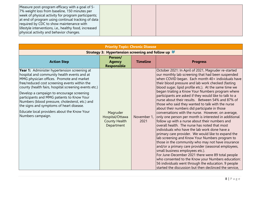| required by CDC to show maintenance with<br>lifestyle interventions, i.e., healthy food, increased<br>physical activity and behavior changes. | Measure post-program efficacy with a goal of 5-<br>7% weight loss from baseline, 150 minutes per<br>week of physical activity for program participants;<br>at end of program using continual tracking of data |  |  |  |
|-----------------------------------------------------------------------------------------------------------------------------------------------|---------------------------------------------------------------------------------------------------------------------------------------------------------------------------------------------------------------|--|--|--|
|-----------------------------------------------------------------------------------------------------------------------------------------------|---------------------------------------------------------------------------------------------------------------------------------------------------------------------------------------------------------------|--|--|--|

| <b>Priority Topic: Chronic Disease</b>                                                                                                                                                                                                                                                                                                                                                                                                                                                                           |                                                                   |                     |                                                                                                                                                                                                                                                                                                                                                                                                                                                                                                                                                                                                                                                                                                                                                                                                                                                                                                                                                                                                                                                                                                                                                                                                                                                                                                           |  |  |
|------------------------------------------------------------------------------------------------------------------------------------------------------------------------------------------------------------------------------------------------------------------------------------------------------------------------------------------------------------------------------------------------------------------------------------------------------------------------------------------------------------------|-------------------------------------------------------------------|---------------------|-----------------------------------------------------------------------------------------------------------------------------------------------------------------------------------------------------------------------------------------------------------------------------------------------------------------------------------------------------------------------------------------------------------------------------------------------------------------------------------------------------------------------------------------------------------------------------------------------------------------------------------------------------------------------------------------------------------------------------------------------------------------------------------------------------------------------------------------------------------------------------------------------------------------------------------------------------------------------------------------------------------------------------------------------------------------------------------------------------------------------------------------------------------------------------------------------------------------------------------------------------------------------------------------------------------|--|--|
| <b>Strategy 3: Hypertension screening and follow up</b>                                                                                                                                                                                                                                                                                                                                                                                                                                                          |                                                                   |                     |                                                                                                                                                                                                                                                                                                                                                                                                                                                                                                                                                                                                                                                                                                                                                                                                                                                                                                                                                                                                                                                                                                                                                                                                                                                                                                           |  |  |
| <b>Action Step</b>                                                                                                                                                                                                                                                                                                                                                                                                                                                                                               | Person/<br><b>Agency</b><br><b>Responsible</b>                    | <b>Timeline</b>     | <b>Progress</b>                                                                                                                                                                                                                                                                                                                                                                                                                                                                                                                                                                                                                                                                                                                                                                                                                                                                                                                                                                                                                                                                                                                                                                                                                                                                                           |  |  |
| Year 1: Administer hypertension screening at<br>hospital and community health events and at<br>MMG physician offices. Promote and market<br>free/reduced cost screening events within the<br>county (health fairs, hospital screening events etc.)<br>Develop a campaign to encourage screening<br>participants and MMG patients to Know Your<br>Numbers (blood pressure, cholesterol, etc.) and<br>the signs and symptoms of heart disease.<br>Educate local providers about the Know Your<br>Numbers campaign. | Magruder<br>Hospital/Ottawa<br><b>County Health</b><br>Department | November 1,<br>2021 | October 2021: In April of 2021, Magruder re-started<br>our monthly lab screening that had been suspended<br>when COVID began. Each month 40+ individuals have<br>their blood pressure and lab work checked (fasting<br>blood sugar, lipid profile etc.). At the same time we<br>began trialing a Know Your Numbers program where<br>participants are asked if they would like to talk to a<br>nurse about their results. Between 54% and 87% of<br>those who said they wanted to talk with the nurse<br>about their numbers did participate in those<br>conversations with the nurse. However, on average,<br>only one person per month is interested in additional<br>follow up with a nurse about their numbers and<br>overall health. The nurse has noted that most<br>individuals who have the lab work done have a<br>primary care provider. We would like to expand the<br>lab screening and Know Your Numbers program to<br>those in the community who may not have insurance<br>and/or a primary care provider (seasonal employees,<br>small business employees etc.).<br>For June-December 2021 there were 89 total people<br>who consented to the Know your Numbers education:<br>56 individuals went through the education. 9 people<br>started the discussion but then declinced the service, |  |  |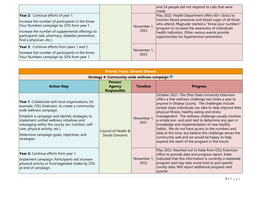|                                                                                                                                                                                                                                                                                 |                     | and 24 people did not respond to calls that were<br>made.                                                                                                                                                                                                                                                            |
|---------------------------------------------------------------------------------------------------------------------------------------------------------------------------------------------------------------------------------------------------------------------------------|---------------------|----------------------------------------------------------------------------------------------------------------------------------------------------------------------------------------------------------------------------------------------------------------------------------------------------------------------|
| <b>Year 2:</b> Continue efforts of year 1.<br>Increase the number of participants in the Know<br>Your Numbers campaign by 25% from year 1.<br>Increase the number of supplemental offerings to<br>participants (lab, pharmacy, diabetes prevention,<br>find a physician, etc.). | November 1,<br>2022 | May 2022: Health Department offers 60+ clinics to<br>monitor blood pressures and blood sugar of all those<br>who attend. Magruder started a "Know your numbers"<br>program to increase the awareness of individuals<br>health indicators. Other various events provide<br>opportunities for hypertension prevention. |
| Year 3: Continue efforts from years 1 and 2.<br>Increase the number of participants in the Know<br>Your Numbers campaign by 50% from year 1.                                                                                                                                    | November 1,<br>2023 |                                                                                                                                                                                                                                                                                                                      |

| <b>Priority Topic: Chronic Disease</b>                                                                                                                                                                                                                                                                                                                                                     |                                               |                     |                                                                                                                                                                                                                                                                                                                                                                                                                                                                                                                                                                                                                                                        |  |  |  |
|--------------------------------------------------------------------------------------------------------------------------------------------------------------------------------------------------------------------------------------------------------------------------------------------------------------------------------------------------------------------------------------------|-----------------------------------------------|---------------------|--------------------------------------------------------------------------------------------------------------------------------------------------------------------------------------------------------------------------------------------------------------------------------------------------------------------------------------------------------------------------------------------------------------------------------------------------------------------------------------------------------------------------------------------------------------------------------------------------------------------------------------------------------|--|--|--|
| Strategy 4: Community-wide wellness campaign                                                                                                                                                                                                                                                                                                                                               |                                               |                     |                                                                                                                                                                                                                                                                                                                                                                                                                                                                                                                                                                                                                                                        |  |  |  |
| <b>Action Step</b>                                                                                                                                                                                                                                                                                                                                                                         | Person/<br><b>Agency</b><br>Responsible       | <b>Timeline</b>     | <b>Progress</b>                                                                                                                                                                                                                                                                                                                                                                                                                                                                                                                                                                                                                                        |  |  |  |
| <b>Year 1:</b> Collaborate with local organizations, for<br>example, OSU Extension, to create a community-<br>wide wellness campaign.<br>Establish a campaign and identify strategies to<br>implement unified wellness initiatives and<br>messaging within the county (ex: nutrition, self-<br>care, physical activity, etc.).<br>Determine campaign goals, objectives, and<br>strategies. | Council of Health &<br><b>Social Concerns</b> | November 1,<br>2021 | October 2021: The Ohio State University Extension<br>offers a free wellness challenge two times a year to<br>anyone in Ottawa County. The challenges include<br>simple steps individuals can take to help improve their<br>physical fitness, healthy eating and stress<br>management. The wellness challenge usually involves<br>a simple pre- and post-test to determine any gain in<br>knowledge and implementation of new healthy<br>habits. We do not have access to the numbers and<br>data at this time, but believe this challenge serves the<br>community well and we would be happy to help<br>expand the reach of the program in the future. |  |  |  |
| Year 2: Continue efforts from year 1.<br>Implement campaign. Participants will increase<br>physical activity or fruit/vegetable intake by 25%<br>at end of campaign.                                                                                                                                                                                                                       |                                               | November 1,<br>2022 | May 2022: Reached out to Katie from OSU Extension<br>office to provide data and progress report. Katie<br>indicated that this information is currently a statewide<br>program and may take some time to pull specific<br>county data. Will report additional progress next<br>quarter.                                                                                                                                                                                                                                                                                                                                                                 |  |  |  |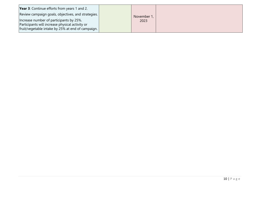| <b>Year 3:</b> Continue efforts from years 1 and 2.<br>Review campaign goals, objectives, and strategies.                                       | November 1, |  |
|-------------------------------------------------------------------------------------------------------------------------------------------------|-------------|--|
| Increase number of participants by 25%.<br>Participants will increase physical activity or<br>fruit/vegetable intake by 25% at end of campaign. | 2023        |  |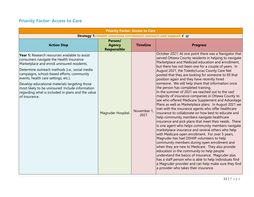### **Priority Factor: Access to Care**

| <b>Priority Factor: Access to Care</b>                                                                                                                                                                                                                                                                                                                                                                                                                      |                                                |                     |                                                                                                                                                                                                                                                                                                                                                                                                                                                                                                                                                                                                                                                                                                                                                                                                                                                                                                                                                                                                                                                                                                                                                                                                                                                                                                                                                                                                                                                                                                              |  |  |
|-------------------------------------------------------------------------------------------------------------------------------------------------------------------------------------------------------------------------------------------------------------------------------------------------------------------------------------------------------------------------------------------------------------------------------------------------------------|------------------------------------------------|---------------------|--------------------------------------------------------------------------------------------------------------------------------------------------------------------------------------------------------------------------------------------------------------------------------------------------------------------------------------------------------------------------------------------------------------------------------------------------------------------------------------------------------------------------------------------------------------------------------------------------------------------------------------------------------------------------------------------------------------------------------------------------------------------------------------------------------------------------------------------------------------------------------------------------------------------------------------------------------------------------------------------------------------------------------------------------------------------------------------------------------------------------------------------------------------------------------------------------------------------------------------------------------------------------------------------------------------------------------------------------------------------------------------------------------------------------------------------------------------------------------------------------------------|--|--|
| Strategy 1: Health insurance enrollment outreach and support √                                                                                                                                                                                                                                                                                                                                                                                              |                                                |                     |                                                                                                                                                                                                                                                                                                                                                                                                                                                                                                                                                                                                                                                                                                                                                                                                                                                                                                                                                                                                                                                                                                                                                                                                                                                                                                                                                                                                                                                                                                              |  |  |
| <b>Action Step</b>                                                                                                                                                                                                                                                                                                                                                                                                                                          | Person/<br><b>Agency</b><br><b>Responsible</b> | <b>Timeline</b>     | <b>Progress</b>                                                                                                                                                                                                                                                                                                                                                                                                                                                                                                                                                                                                                                                                                                                                                                                                                                                                                                                                                                                                                                                                                                                                                                                                                                                                                                                                                                                                                                                                                              |  |  |
| Year 1: Research resources available to assist<br>consumers navigate the Health Insurance<br>Marketplace and enroll uninsured residents.<br>Determine outreach methods (i.e., social media<br>campaigns, school-based efforts, community<br>events, health care settings, etc.).<br>Develop educational materials targeting those<br>most likely to be uninsured. Include information<br>regarding what is included in plans and the value<br>of insurance. | Magruder Hospital                              | November 1,<br>2021 | October 2021: At one point there was a Navigator that<br>served Ottawa County residents in helping to navigate<br>Marketplace and Medicaid education and enrollment,<br>but there has not been one for a couple of years. In<br>August 2021, the Toledo/Lucas County Care Net<br>posted that they are looking for someone to fill that<br>position again and they have recently hired<br>someone. We will help share that information once<br>the person has completed training.<br>In the summer of 2021 we reached out to the vast<br>majority of insurance companies in Ottawa County to<br>see who offered Medicare Supplement and Advantage<br>Plans as well as Marketplace plans. In August 2021 we<br>met with the insurance agents who offer healthcare<br>linsurance to collaborate on how best to educate and<br>help community members navigate healthcare<br>insurance and pick plans that meet their needs. There<br>is one agent who helps community members navigate<br>marketplace insurance and several others who help<br>with Medicare open enrollment. For over 5 years,<br>Magruder has had OSHIIP volunteers to help<br>community members during open enrollment and<br>when they are new to Medicare. They also provide<br>education in the community to help people<br>understand the basics of insurance. Magruder also<br>has a staff person who is able to help individuals find<br>a Magruder provider and can help make sure they find<br>a provider who takes their insurance. |  |  |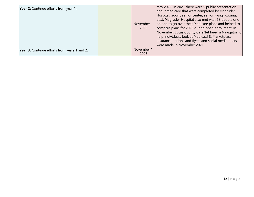| Year 2: Continue efforts from year 1.               | November 1,<br>2022 | May 2022: In 2021 there were 5 public presentation<br>about Medicare that were completed by Magruder<br>Hospital (zoom, senior center, senior living, Kiwanis,<br>etc.). Magruder Hospital also met with 63 people one<br>on one to go over their Medicare plans and helped to<br>compare plans for 2022 during open enrollment. In<br>November, Lucas County CareNet hired a Navigator to<br>help individuals look at Medicaid & Marketplace<br>Insurance options and flyers and social media posts<br>were made in November 2021. |
|-----------------------------------------------------|---------------------|-------------------------------------------------------------------------------------------------------------------------------------------------------------------------------------------------------------------------------------------------------------------------------------------------------------------------------------------------------------------------------------------------------------------------------------------------------------------------------------------------------------------------------------|
| <b>Year 3:</b> Continue efforts from years 1 and 2. | November 1,<br>2023 |                                                                                                                                                                                                                                                                                                                                                                                                                                                                                                                                     |